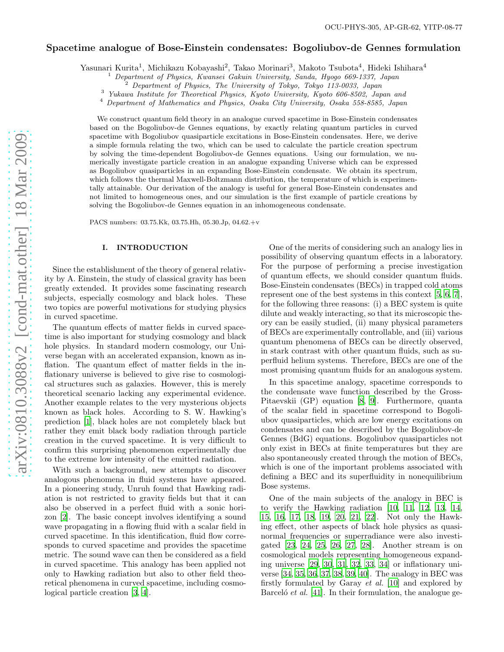## Spacetime analogue of Bose-Einstein condensates: Bogoliubov-de Gennes formulation

Yasunari Kurita<sup>1</sup>, Michikazu Kobayashi<sup>2</sup>, Takao Morinari<sup>3</sup>, Makoto Tsubota<sup>4</sup>, Hideki Ishihara<sup>4</sup>

<sup>1</sup> Department of Physics, Kwansei Gakuin University, Sanda, Hyogo 669-1337, Japan

<sup>3</sup> Yukawa Institute for Theoretical Physics, Kyoto University, Kyoto 606-8502, Japan and

<sup>4</sup> Department of Mathematics and Physics, Osaka City University, Osaka 558-8585, Japan

We construct quantum field theory in an analogue curved spacetime in Bose-Einstein condensates based on the Bogoliubov-de Gennes equations, by exactly relating quantum particles in curved spacetime with Bogoliubov quasiparticle excitations in Bose-Einstein condensates. Here, we derive a simple formula relating the two, which can be used to calculate the particle creation spectrum by solving the time-dependent Bogoliubov-de Gennes equations. Using our formulation, we numerically investigate particle creation in an analogue expanding Universe which can be expressed as Bogoliubov quasiparticles in an expanding Bose-Einstein condensate. We obtain its spectrum, which follows the thermal Maxwell-Boltzmann distribution, the temperature of which is experimentally attainable. Our derivation of the analogy is useful for general Bose-Einstein condensates and not limited to homogeneous ones, and our simulation is the first example of particle creations by solving the Bogoliubov-de Gennes equation in an inhomogeneous condensate.

PACS numbers: 03.75.Kk, 03.75.Hh, 05.30.Jp, 04.62.+v

#### I. INTRODUCTION

Since the establishment of the theory of general relativity by A. Einstein, the study of classical gravity has been greatly extended. It provides some fascinating research subjects, especially cosmology and black holes. These two topics are powerful motivations for studying physics in curved spacetime.

The quantum effects of matter fields in curved spacetime is also important for studying cosmology and black hole physics. In standard modern cosmology, our Universe began with an accelerated expansion, known as inflation. The quantum effect of matter fields in the inflationary universe is believed to give rise to cosmological structures such as galaxies. However, this is merely theoretical scenario lacking any experimental evidence. Another example relates to the very mysterious objects known as black holes. According to S. W. Hawking's prediction [\[1](#page-7-0)], black holes are not completely black but rather they emit black body radiation through particle creation in the curved spacetime. It is very difficult to confirm this surprising phenomenon experimentally due to the extreme low intensity of the emitted radiation.

With such a background, new attempts to discover analogous phenomena in fluid systems have appeared. In a pioneering study, Unruh found that Hawking radiation is not restricted to gravity fields but that it can also be observed in a perfect fluid with a sonic horizon [\[2\]](#page-7-1). The basic concept involves identifying a sound wave propagating in a flowing fluid with a scalar field in curved spacetime. In this identification, fluid flow corresponds to curved spacetime and provides the spacetime metric. The sound wave can then be considered as a field in curved spacetime. This analogy has been applied not only to Hawking radiation but also to other field theoretical phenomena in curved spacetime, including cosmological particle creation [\[3,](#page-7-2) [4](#page-7-3)].

One of the merits of considering such an analogy lies in possibility of observing quantum effects in a laboratory. For the purpose of performing a precise investigation of quantum effects, we should consider quantum fluids. Bose-Einstein condensates (BECs) in trapped cold atoms represent one of the best systems in this context [\[5](#page-7-4), [6,](#page-7-5) [7\]](#page-7-6), for the following three reasons: (i) a BEC system is quite dilute and weakly interacting, so that its microscopic theory can be easily studied, (ii) many physical parameters of BECs are experimentally controllable, and (iii) various quantum phenomena of BECs can be directly observed, in stark contrast with other quantum fluids, such as superfluid helium systems. Therefore, BECs are one of the most promising quantum fluids for an analogous system.

In this spacetime analogy, spacetime corresponds to the condensate wave function described by the Gross-Pitaevskii (GP) equation [\[8,](#page-7-7) [9](#page-7-8)]. Furthermore, quanta of the scalar field in spacetime correspond to Bogoliubov quasiparticles, which are low energy excitations on condensates and can be described by the Bogoliubov-de Gennes (BdG) equations. Bogoliubov quasiparticles not only exist in BECs at finite temperatures but they are also spontaneously created through the motion of BECs, which is one of the important problems associated with defining a BEC and its superfluidity in nonequilibrium Bose systems.

One of the main subjects of the analogy in BEC is to verify the Hawking radiation [\[10,](#page-7-9) [11,](#page-7-10) [12](#page-7-11), [13](#page-7-12), [14](#page-7-13), [15,](#page-7-14) [16](#page-7-15), [17,](#page-7-16) [18,](#page-7-17) [19](#page-7-18), [20](#page-7-19), [21,](#page-7-20) [22\]](#page-7-21). Not only the Hawking effect, other aspects of black hole physics as quasinormal frequencies or superradiance were also investigated [\[23,](#page-7-22) [24,](#page-7-23) [25,](#page-7-24) [26](#page-7-25), [27,](#page-7-26) [28\]](#page-7-27). Another stream is on cosmological models representing homogeneous expanding universe [\[29,](#page-7-28) [30,](#page-7-29) [31](#page-7-30), [32](#page-7-31), [33](#page-7-32), [34](#page-7-33)] or inflationary universe [\[34,](#page-7-33) [35](#page-7-34), [36,](#page-7-35) [37](#page-7-36), [38,](#page-7-37) [39](#page-7-38), [40\]](#page-7-39). The analogy in BEC was firstly formulated by Garay *et al.* [\[10](#page-7-9)] and explored by Barcelo<sup> *et al.* [\[41\]](#page-7-40). In their formulation, the analogue ge-</sup>

<sup>2</sup> Department of Physics, The University of Tokyo, Tokyo 113-0033, Japan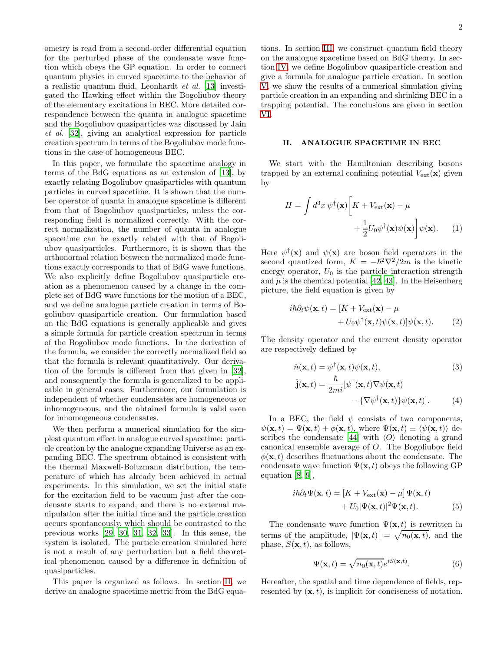ometry is read from a second-order differential equation for the perturbed phase of the condensate wave function which obeys the GP equation. In order to connect quantum physics in curved spacetime to the behavior of a realistic quantum fluid, Leonhardt *et al.* [\[13\]](#page-7-12) investigated the Hawking effect within the Bogoliubov theory of the elementary excitations in BEC. More detailed correspondence between the quanta in analogue spacetime and the Bogoliubov quasiparticles was discussed by Jain *et al.* [\[32](#page-7-31)], giving an analytical expression for particle creation spectrum in terms of the Bogoliubov mode functions in the case of homogeneous BEC.

In this paper, we formulate the spacetime analogy in terms of the BdG equations as an extension of [\[13\]](#page-7-12), by exactly relating Bogoliubov quasiparticles with quantum particles in curved spacetime. It is shown that the number operator of quanta in analogue spacetime is different from that of Bogoliubov quasiparticles, unless the corresponding field is normalized correctly. With the correct normalization, the number of quanta in analogue spacetime can be exactly related with that of Bogoliubov quasiparticles. Furthermore, it is shown that the orthonormal relation between the normalized mode functions exactly corresponds to that of BdG wave functions. We also explicitly define Bogoliubov quasiparticle creation as a phenomenon caused by a change in the complete set of BdG wave functions for the motion of a BEC, and we define analogue particle creation in terms of Bogoliubov quasiparticle creation. Our formulation based on the BdG equations is generally applicable and gives a simple formula for particle creation spectrum in terms of the Bogoliubov mode functions. In the derivation of the formula, we consider the correctly normalized field so that the formula is relevant quantitatively. Our derivation of the formula is different from that given in [\[32\]](#page-7-31), and consequently the formula is generalized to be applicable in general cases. Furthermore, our formulation is independent of whether condensates are homogeneous or inhomogeneous, and the obtained formula is valid even for inhomogeneous condensates.

We then perform a numerical simulation for the simplest quantum effect in analogue curved spacetime: particle creation by the analogue expanding Universe as an expanding BEC. The spectrum obtained is consistent with the thermal Maxwell-Boltzmann distribution, the temperature of which has already been achieved in actual experiments. In this simulation, we set the initial state for the excitation field to be vacuum just after the condensate starts to expand, and there is no external manipulation after the initial time and the particle creation occurs spontaneously, which should be contrasted to the previous works [\[29](#page-7-28), [30,](#page-7-29) [31](#page-7-30), [32,](#page-7-31) [33\]](#page-7-32). In this sense, the system is isolated. The particle creation simulated here is not a result of any perturbation but a field theoretical phenomenon caused by a difference in definition of quasiparticles.

This paper is organized as follows. In section [II,](#page-1-0) we derive an analogue spacetime metric from the BdG equations. In section [III,](#page-2-0) we construct quantum field theory on the analogue spacetime based on BdG theory. In section [IV,](#page-4-0) we define Bogoliubov quasiparticle creation and give a formula for analogue particle creation. In section [V,](#page-5-0) we show the results of a numerical simulation giving particle creation in an expanding and shrinking BEC in a trapping potential. The conclusions are given in section [VI.](#page-6-0)

### <span id="page-1-0"></span>II. ANALOGUE SPACETIME IN BEC

We start with the Hamiltonian describing bosons trapped by an external confining potential  $V_{\text{ext}}(\mathbf{x})$  given by

$$
H = \int d^3x \, \psi^{\dagger}(\mathbf{x}) \left[ K + V_{\text{ext}}(\mathbf{x}) - \mu \right. + \frac{1}{2} U_0 \psi^{\dagger}(\mathbf{x}) \psi(\mathbf{x}) \right] \psi(\mathbf{x}). \tag{1}
$$

Here  $\psi^{\dagger}(\mathbf{x})$  and  $\psi(\mathbf{x})$  are boson field operators in the second quantized form,  $K = -\hbar^2 \nabla^2 / 2m$  is the kinetic energy operator,  $U_0$  is the particle interaction strength and  $\mu$  is the chemical potential [\[42](#page-7-41), [43\]](#page-7-42). In the Heisenberg picture, the field equation is given by

$$
i\hbar \partial_t \psi(\mathbf{x}, t) = [K + V_{\text{ext}}(\mathbf{x}) - \mu + U_0 \psi^{\dagger}(\mathbf{x}, t) \psi(\mathbf{x}, t)] \psi(\mathbf{x}, t).
$$
 (2)

The density operator and the current density operator are respectively defined by

$$
\hat{n}(\mathbf{x},t) = \psi^{\dagger}(\mathbf{x},t)\psi(\mathbf{x},t),\tag{3}
$$

$$
\hat{\mathbf{j}}(\mathbf{x},t) = \frac{\hbar}{2mi} [\psi^{\dagger}(\mathbf{x},t) \nabla \psi(\mathbf{x},t) - {\nabla \psi^{\dagger}(\mathbf{x},t)} \psi(\mathbf{x},t)].
$$
\n(4)

In a BEC, the field  $\psi$  consists of two components,  $\psi(\mathbf{x}, t) = \Psi(\mathbf{x}, t) + \phi(\mathbf{x}, t)$ , where  $\Psi(\mathbf{x}, t) \equiv \langle \psi(\mathbf{x}, t) \rangle$  de-scribes the condensate [\[44](#page-7-43)] with  $\langle O \rangle$  denoting a grand canonical ensemble average of O. The Bogoliubov field  $\phi(\mathbf{x}, t)$  describes fluctuations about the condensate. The condensate wave function  $\Psi(\mathbf{x}, t)$  obeys the following GP equation [\[8,](#page-7-7) [9\]](#page-7-8),

$$
i\hbar \partial_t \Psi(\mathbf{x}, t) = [K + V_{\text{ext}}(\mathbf{x}) - \mu] \Psi(\mathbf{x}, t)
$$

$$
+ U_0 |\Psi(\mathbf{x}, t)|^2 \Psi(\mathbf{x}, t).
$$
(5)

The condensate wave function  $\Psi(\mathbf{x},t)$  is rewritten in terms of the amplitude,  $|\Psi(\mathbf{x}, t)| = \sqrt{n_0(\mathbf{x}, t)}$ , and the phase,  $S(\mathbf{x}, t)$ , as follows,

$$
\Psi(\mathbf{x},t) = \sqrt{n_0(\mathbf{x},t)}e^{iS(\mathbf{x},t)}.\tag{6}
$$

Hereafter, the spatial and time dependence of fields, represented by  $(\mathbf{x}, t)$ , is implicit for conciseness of notation.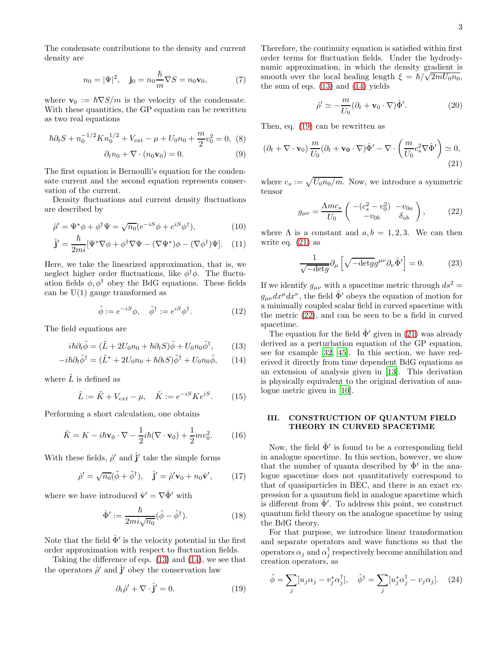The condensate contributions to the density and current density are

$$
n_0 = |\Psi|^2, \quad \mathbf{j}_0 = n_0 \frac{\hbar}{m} \nabla S = n_0 \mathbf{v}_0,\tag{7}
$$

where  $\mathbf{v}_0 := \hbar \nabla S/m$  is the velocity of the condensate. With these quantities, the GP equation can be rewritten as two real equations

$$
\hbar \partial_t S + n_0^{-1/2} K n_0^{1/2} + V_{\text{ext}} - \mu + U_0 n_0 + \frac{m}{2} v_0^2 = 0, \tag{8}
$$

$$
\partial_t n_0 + \nabla \cdot (n_0 \mathbf{v}_0) = 0. \tag{9}
$$

The first equation is Bernoulli's equation for the condensate current and the second equation represents conservation of the current.

Density fluctuations and current density fluctuations are described by

$$
\hat{\rho}' = \Psi^* \phi + \phi^\dagger \Psi = \sqrt{n_0} (e^{-iS} \phi + e^{iS} \phi^\dagger),\tag{10}
$$

$$
\hat{\mathbf{j}}' = \frac{\hbar}{2mi} [\Psi^* \nabla \phi + \phi^\dagger \nabla \Psi - (\nabla \Psi^*) \phi - (\nabla \phi^\dagger) \Psi]. \quad (11)
$$

Here, we take the linearized approximation, that is, we neglect higher order fluctuations, like  $\phi^{\dagger} \phi$ . The fluctuation fields  $\phi$ ,  $\phi^{\dagger}$  obey the BdG equations. These fields can be  $U(1)$  gauge transformed as

$$
\tilde{\phi} := e^{-iS} \phi, \quad \tilde{\phi}^{\dagger} := e^{iS} \phi^{\dagger}.
$$
\n(12)

The field equations are

$$
i\hbar \partial_t \tilde{\phi} = (\tilde{L} + 2U_0 n_0 + \hbar \partial_t S)\tilde{\phi} + U_0 n_0 \tilde{\phi}^\dagger, \qquad (13)
$$

$$
-i\hbar\partial_t\tilde{\phi}^\dagger = (\tilde{L}^* + 2U_0n_0 + \hbar\partial_tS)\tilde{\phi}^\dagger + U_0n_0\tilde{\phi}, \qquad (14)
$$

where  $\tilde{L}$  is defined as

$$
\tilde{L} := \tilde{K} + V_{ext} - \mu, \quad \tilde{K} := e^{-iS} K e^{iS}.
$$
 (15)

Performing a short calculation, one obtains

$$
\tilde{K} = K - i\hbar \mathbf{v}_0 \cdot \nabla - \frac{1}{2} i\hbar (\nabla \cdot \mathbf{v}_0) + \frac{1}{2} m v_0^2.
$$
 (16)

With these fields,  $\hat{\rho}'$  and  $\hat{\mathbf{j}}'$  take the simple forms

$$
\hat{\rho}' = \sqrt{n_0}(\tilde{\phi} + \tilde{\phi}^\dagger), \quad \hat{\mathbf{j}}' = \hat{\rho}' \mathbf{v}_0 + n_0 \hat{\mathbf{v}}', \quad (17)
$$

where we have introduced  $\hat{\mathbf{v}}' = \nabla \hat{\Phi}'$  with

$$
\hat{\Phi}' := \frac{\hbar}{2mi\sqrt{n_0}} (\tilde{\phi} - \tilde{\phi}^{\dagger}). \tag{18}
$$

Note that the field  $\hat{\Phi}'$  is the velocity potential in the first order approximation with respect to fluctuation fields.

Taking the difference of eqs. [\(13\)](#page-2-1) and [\(14\)](#page-2-2), we see that the operators  $\hat{\rho}'$  and  $\hat{\mathbf{j}}'$  obey the conservation law

$$
\partial_t \hat{\rho}' + \nabla \cdot \hat{\mathbf{j}}' = 0. \tag{19}
$$

Therefore, the continuity equation is satisfied within first order terms for fluctuation fields. Under the hydrodynamic approximation, in which the density gradient is smooth over the local healing length  $\xi = \hbar / \sqrt{2mU_0 n_0}$ , the sum of eqs.  $(13)$  and  $(14)$  yields

<span id="page-2-4"></span>
$$
\hat{\rho}' \simeq -\frac{m}{U_0} (\partial_t + \mathbf{v}_0 \cdot \nabla) \hat{\Phi}'. \tag{20}
$$

<span id="page-2-7"></span>Then, eq. [\(19\)](#page-2-3) can be rewritten as

<span id="page-2-8"></span>
$$
(\partial_t + \nabla \cdot \mathbf{v}_0) \frac{m}{U_0} (\partial_t + \mathbf{v}_0 \cdot \nabla) \hat{\Phi}' - \nabla \cdot \left( \frac{m}{U_0} c_s^2 \nabla \hat{\Phi}' \right) \simeq 0,
$$
\n(21)

where  $c_s := \sqrt{U_0 n_0/m}$ . Now, we introduce a symmetric tensor

<span id="page-2-5"></span>
$$
g_{\mu\nu} = \frac{\Lambda m c_s}{U_0} \begin{pmatrix} -(c_s^2 - v_0^2) & -v_{0a} \\ -v_{0b} & \delta_{ab} \end{pmatrix},
$$
 (22)

where  $\Lambda$  is a constant and  $a, b = 1, 2, 3$ . We can then write eq. [\(21\)](#page-2-4) as

$$
\frac{1}{\sqrt{-\det g}} \partial_{\mu} \left[ \sqrt{-\det g} g^{\mu \nu} \partial_{\nu} \hat{\Phi}' \right] = 0. \quad (23)
$$

If we identify  $g_{\mu\nu}$  with a spacetime metric through  $ds^2 =$  $g_{\mu\nu}dx^{\mu}dx^{\nu}$ , the field  $\hat{\Phi}'$  obeys the equation of motion for a minimally coupled scalar field in curved spacetime with the metric [\(22\)](#page-2-5), and can be seen to be a field in curved spacetime.

<span id="page-2-2"></span><span id="page-2-1"></span>The equation for the field  $\hat{\Phi}'$  given in [\(21\)](#page-2-4) was already derived as a perturbation equation of the GP equation, see for example [\[32](#page-7-31), [45\]](#page-7-44). In this section, we have rederived it directly from time dependent BdG equations as an extension of analysis given in [\[13](#page-7-12)]. This derivation is physically equivalent to the original derivation of analogue metric given in [\[10\]](#page-7-9).

## <span id="page-2-0"></span>III. CONSTRUCTION OF QUANTUM FIELD THEORY IN CURVED SPACETIME

Now, the field  $\hat{\Phi}'$  is found to be a corresponding field in analogue spacetime. In this section, however, we show that the number of quanta described by  $\hat{\Phi}'$  in the analogue spacetime does not quantitatively correspond to that of quasiparticles in BEC, and there is an exact expression for a quantum field in analogue spacetime which is different from  $\hat{\Phi}'$ . To address this point, we construct quantum field theory on the analogue spacetime by using the BdG theory.

For that purpose, we introduce linear transformation and separate operators and wave functions so that the operators  $\alpha_j$  and  $\alpha_j^\dagger$  respectively become annihilation and creation operators, as

<span id="page-2-6"></span><span id="page-2-3"></span>
$$
\tilde{\phi} = \sum_{j} [u_j \alpha_j - v_j^* \alpha_j^{\dagger}], \quad \tilde{\phi}^{\dagger} = \sum_{j} [u_j^* \alpha_j^{\dagger} - v_j \alpha_j]. \quad (24)
$$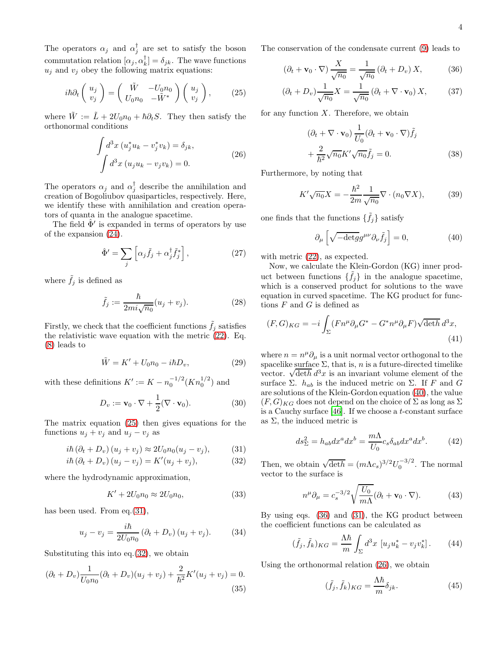The operators  $\alpha_j$  and  $\alpha_j^{\dagger}$  are set to satisfy the boson commutation relation  $[\alpha_j, \alpha_k^{\dagger}] = \delta_{jk}$ . The wave functions  $u_j$  and  $v_j$  obey the following matrix equations:

$$
i\hbar\partial_t \begin{pmatrix} u_j \\ v_j \end{pmatrix} = \begin{pmatrix} \tilde{W} & -U_0 n_0 \\ U_0 n_0 & -\tilde{W}^* \end{pmatrix} \begin{pmatrix} u_j \\ v_j \end{pmatrix}, \qquad (25)
$$

where  $\tilde{W} := \tilde{L} + 2U_0n_0 + \hbar \partial_t S$ . They then satisfy the orthonormal conditions

$$
\int d^3x \left( u_j^* u_k - v_j^* v_k \right) = \delta_{jk},
$$
\n
$$
\int d^3x \left( u_j u_k - v_j v_k \right) = 0.
$$
\n(26)

The operators  $\alpha_j$  and  $\alpha_j^{\dagger}$  describe the annihilation and creation of Bogoliubov quasiparticles, respectively. Here, we identify these with annihilation and creation operators of quanta in the analogue spacetime.

The field  $\hat{\Phi}'$  is expanded in terms of operators by use of the expansion [\(24\)](#page-2-6).

$$
\hat{\Phi}' = \sum_{j} \left[ \alpha_j \tilde{f}_j + \alpha_j^{\dagger} \tilde{f}_j^* \right],\tag{27}
$$

where  $\tilde{f}_j$  is defined as

$$
\tilde{f}_j := \frac{\hbar}{2mi\sqrt{n_0}}(u_j + v_j). \tag{28}
$$

Firstly, we check that the coefficient functions  $\hat{f}_i$  satisfies the relativistic wave equation with the metric [\(22\)](#page-2-5). Eq. [\(8\)](#page-2-7) leads to

$$
\tilde{W} = K' + U_0 n_0 - i\hbar D_v,\tag{29}
$$

with these definitions  $K' := K - n_0^{-1/2} (K n_0^{1/2})$  and

$$
D_v := \mathbf{v}_0 \cdot \nabla + \frac{1}{2} (\nabla \cdot \mathbf{v}_0).
$$
 (30)

The matrix equation [\(25\)](#page-3-0) then gives equations for the functions  $u_j + v_j$  and  $u_j - v_j$  as

$$
i\hbar (\partial_t + D_v) (u_j + v_j) \approx 2U_0 n_0 (u_j - v_j), \quad (31)
$$

$$
i\hbar (\partial_t + D_v) (u_j - v_j) = K'(u_j + v_j), \qquad (32)
$$

where the hydrodynamic approximation,

$$
K' + 2U_0 n_0 \approx 2U_0 n_0,\tag{33}
$$

has been used. From eq.[\(31\)](#page-3-1),

$$
u_j - v_j = \frac{i\hbar}{2U_0 n_0} \left(\partial_t + D_v\right) \left(u_j + v_j\right). \tag{34}
$$

Substituting this into  $eq.(32)$  $eq.(32)$ , we obtain

$$
(\partial_t + D_v) \frac{1}{U_0 n_0} (\partial_t + D_v) (u_j + v_j) + \frac{2}{\hbar^2} K'(u_j + v_j) = 0.
$$
\n(35)

The conservation of the condensate current [\(9\)](#page-2-8) leads to

$$
\left(\partial_t + \mathbf{v}_0 \cdot \nabla\right) \frac{X}{\sqrt{n_0}} = \frac{1}{\sqrt{n_0}} \left(\partial_t + D_v\right) X,\tag{36}
$$

$$
(\partial_t + D_v)\frac{1}{\sqrt{n_0}}X = \frac{1}{\sqrt{n_0}}(\partial_t + \nabla \cdot \mathbf{v}_0) X, \quad (37)
$$

<span id="page-3-0"></span>for any function  $X$ . Therefore, we obtain

<span id="page-3-4"></span>
$$
(\partial_t + \nabla \cdot \mathbf{v}_0) \frac{1}{U_0} (\partial_t + \mathbf{v}_0 \cdot \nabla) \tilde{f}_j
$$
  
+ 
$$
\frac{2}{\hbar^2} \sqrt{n_0} K' \sqrt{n_0} \tilde{f}_j = 0.
$$
 (38)

<span id="page-3-5"></span>Furthermore, by noting that

$$
K'\sqrt{n_0}X = -\frac{\hbar^2}{2m}\frac{1}{\sqrt{n_0}}\nabla \cdot (n_0 \nabla X),\tag{39}
$$

one finds that the functions  $\{\tilde{f}_j\}$  satisfy

<span id="page-3-3"></span>
$$
\partial_{\mu} \left[ \sqrt{-\det g} g^{\mu \nu} \partial_{\nu} \tilde{f}_j \right] = 0, \tag{40}
$$

with metric  $(22)$ , as expected.

Now, we calculate the Klein-Gordon (KG) inner product between functions  $\{\tilde{f}_j\}$  in the analogue spacetime, which is a conserved product for solutions to the wave equation in curved spacetime. The KG product for functions  $F$  and  $G$  is defined as

$$
(F, G)_{KG} = -i \int_{\Sigma} (F n^{\mu} \partial_{\mu} G^* - G^* n^{\mu} \partial_{\mu} F) \sqrt{\det h} \, d^3 x,
$$
\n(41)

where  $n = n^{\mu} \partial_{\mu}$  is a unit normal vector orthogonal to the spacelike surface  $\Sigma$ , that is, n is a future-directed timelike vector.  $\sqrt{\det h} d^3x$  is an invariant volume element of the surface  $\Sigma$ .  $h_{ab}$  is the induced metric on  $\Sigma$ . If F and G are solutions of the Klein-Gordon equation [\(40\)](#page-3-3), the value  $(F, G)_{KG}$  does not depend on the choice of  $\Sigma$  as long as  $\Sigma$ is a Cauchy surface  $[46]$ . If we choose a *t*-constant surface as  $\Sigma$ , the induced metric is

$$
ds_{\Sigma}^2 = h_{ab} dx^a dx^b = \frac{m\Lambda}{U_0} c_s \delta_{ab} dx^a dx^b.
$$
 (42)

<span id="page-3-2"></span><span id="page-3-1"></span>Then, we obtain  $\sqrt{\det h} = (m\Lambda c_s)^{3/2} U_0^{-3/2}$ . The normal vector to the surface is

$$
n^{\mu}\partial_{\mu} = c_s^{-3/2}\sqrt{\frac{U_0}{m\Lambda}}(\partial_t + \mathbf{v}_0 \cdot \nabla). \tag{43}
$$

By using eqs. [\(36\)](#page-3-4) and [\(31\)](#page-3-1), the KG product between the coefficient functions can be calculated as

$$
(\tilde{f}_j, \tilde{f}_k)_{KG} = \frac{\Lambda \hbar}{m} \int_{\Sigma} d^3 x \, \left[ u_j u_k^* - v_j v_k^* \right]. \tag{44}
$$

Using the orthonormal relation [\(26\)](#page-3-5), we obtain

$$
(\tilde{f}_j, \tilde{f}_k)_{KG} = \frac{\Lambda \hbar}{m} \delta_{jk}.
$$
\n(45)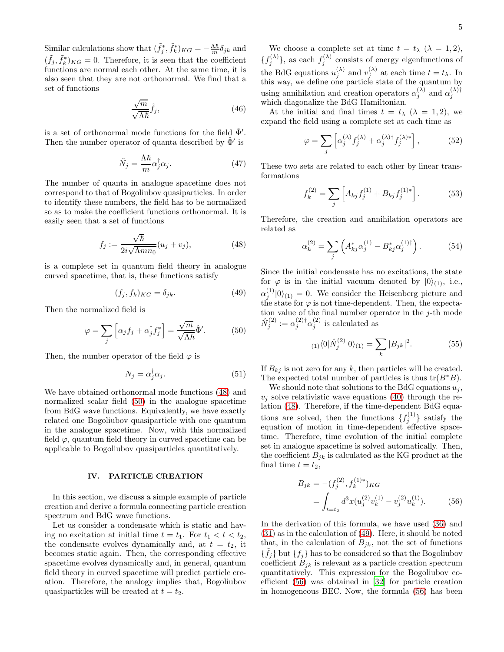Similar calculations show that  $(\tilde{f}_j^*, \tilde{f}_k^*)_{KG} = -\frac{\Lambda \hbar}{m} \delta_{jk}$  and  $(\tilde{f}_j, \tilde{f}_k^*)_{KG} = 0$ . Therefore, it is seen that the coefficient functions are normal each other. At the same time, it is also seen that they are not orthonormal. We find that a set of functions

$$
\frac{\sqrt{m}}{\sqrt{\Lambda\hbar}}\tilde{f}_j,\tag{46}
$$

is a set of orthonormal mode functions for the field  $\hat{\Phi}'$ . Then the number operator of quanta described by  $\hat{\Phi}'$  is

$$
\tilde{N}_j = \frac{\Lambda \hbar}{m} \alpha_j^{\dagger} \alpha_j. \tag{47}
$$

The number of quanta in analogue spacetime does not correspond to that of Bogoliubov quasiparticles. In order to identify these numbers, the field has to be normalized so as to make the coefficient functions orthonormal. It is easily seen that a set of functions

$$
f_j := \frac{\sqrt{\hbar}}{2i\sqrt{\Lambda m n_0}} (u_j + v_j), \tag{48}
$$

is a complete set in quantum field theory in analogue curved spacetime, that is, these functions satisfy

$$
(f_j, f_k)_{KG} = \delta_{jk}.\tag{49}
$$

Then the normalized field is

$$
\varphi = \sum_{j} \left[ \alpha_j f_j + \alpha_j^{\dagger} f_j^* \right] = \frac{\sqrt{m}}{\sqrt{\Lambda \hbar}} \hat{\Phi}'. \tag{50}
$$

Then, the number operator of the field  $\varphi$  is

$$
N_j = \alpha_j^{\dagger} \alpha_j. \tag{51}
$$

We have obtained orthonormal mode functions [\(48\)](#page-4-1) and normalized scalar field [\(50\)](#page-4-2) in the analogue spacetime from BdG wave functions. Equivalently, we have exactly related one Bogoliubov quasiparticle with one quantum in the analogue spacetime. Now, with this normalized field  $\varphi$ , quantum field theory in curved spacetime can be applicable to Bogoliubov quasiparticles quantitatively.

# <span id="page-4-0"></span>IV. PARTICLE CREATION

In this section, we discuss a simple example of particle creation and derive a formula connecting particle creation spectrum and BdG wave functions.

Let us consider a condensate which is static and having no excitation at initial time  $t = t_1$ . For  $t_1 < t < t_2$ , the condensate evolves dynamically and, at  $t = t_2$ , it becomes static again. Then, the corresponding effective spacetime evolves dynamically and, in general, quantum field theory in curved spacetime will predict particle creation. Therefore, the analogy implies that, Bogoliubov quasiparticles will be created at  $t = t_2$ .

We choose a complete set at time  $t = t_{\lambda}$  ( $\lambda = 1, 2$ ),  ${f_j^{(\lambda)}}$ , as each  $f_j^{(\lambda)}$  consists of energy eigenfunctions of the BdG equations  $u_j^{(\lambda)}$  and  $v_j^{(\lambda)}$  at each time  $t = t_\lambda$ . In this way, we define one particle state of the quantum by using annihilation and creation operators  $\alpha_j^{(\lambda)}$  and  $\alpha_j^{(\lambda)\dagger}$ which diagonalize the BdG Hamiltonian.

At the initial and final times  $t = t_{\lambda}$  ( $\lambda = 1, 2$ ), we expand the field using a complete set at each time as

$$
\varphi = \sum_{j} \left[ \alpha_j^{(\lambda)} f_j^{(\lambda)} + \alpha_j^{(\lambda)\dagger} f_j^{(\lambda)*} \right],\tag{52}
$$

These two sets are related to each other by linear transformations

$$
f_k^{(2)} = \sum_j \left[ A_{kj} f_j^{(1)} + B_{kj} f_j^{(1)*} \right]. \tag{53}
$$

<span id="page-4-1"></span>Therefore, the creation and annihilation operators are related as

$$
\alpha_k^{(2)} = \sum_j \left( A_{kj}^* \alpha_j^{(1)} - B_{kj}^* \alpha_j^{(1)\dagger} \right). \tag{54}
$$

<span id="page-4-3"></span>Since the initial condensate has no excitations, the state for  $\varphi$  is in the initial vacuum denoted by  $|0\rangle_{(1)}$ , i.e.,  $\alpha_j^{(1)}|0\rangle_{(1)}=0.$  We consider the Heisenberg picture and the state for  $\varphi$  is not time-dependent. Then, the expectation value of the final number operator in the  $j$ -th mode  $\hat{N}_j^{(2)} := \alpha_j^{(2)\dagger} \alpha_j^{(2)}$  is calculated as

<span id="page-4-5"></span>
$$
\langle 1 \rangle \langle 0 | \hat{N}_j^{(2)} | 0 \rangle \langle 1 \rangle = \sum_k |B_{jk}|^2. \tag{55}
$$

<span id="page-4-2"></span>If  $B_{kj}$  is not zero for any k, then particles will be created. The expected total number of particles is thus  $\text{tr}(B^*B)$ .

We should note that solutions to the BdG equations  $u_i$ ,  $v_i$  solve relativistic wave equations [\(40\)](#page-3-3) through the relation [\(48\)](#page-4-1). Therefore, if the time-dependent BdG equations are solved, then the functions  $\{f_j^{(1)}\}$  satisfy the equation of motion in time-dependent effective spacetime. Therefore, time evolution of the initial complete set in analogue spacetime is solved automatically. Then, the coefficient  $B_{jk}$  is calculated as the KG product at the final time  $t = t_2$ ,

<span id="page-4-4"></span>
$$
B_{jk} = -(f_j^{(2)}, f_k^{(1)*})_{KG}
$$
  
= 
$$
\int_{t=t_2} d^3x (u_j^{(2)}v_k^{(1)} - v_j^{(2)}u_k^{(1)}).
$$
 (56)

In the derivation of this formula, we have used [\(36\)](#page-3-4) and [\(31\)](#page-3-1) as in the calculation of [\(49\)](#page-4-3). Here, it should be noted that, in the calculation of  $B_{jk}$ , not the set of functions  $\{\tilde{f}_j\}$  but  $\{f_j\}$  has to be considered so that the Bogoliubov coefficient  $B_{jk}$  is relevant as a particle creation spectrum quantitatively. This expression for the Bogoliubov coefficient [\(56\)](#page-4-4) was obtained in [\[32\]](#page-7-31) for particle creation in homogeneous BEC. Now, the formula [\(56\)](#page-4-4) has been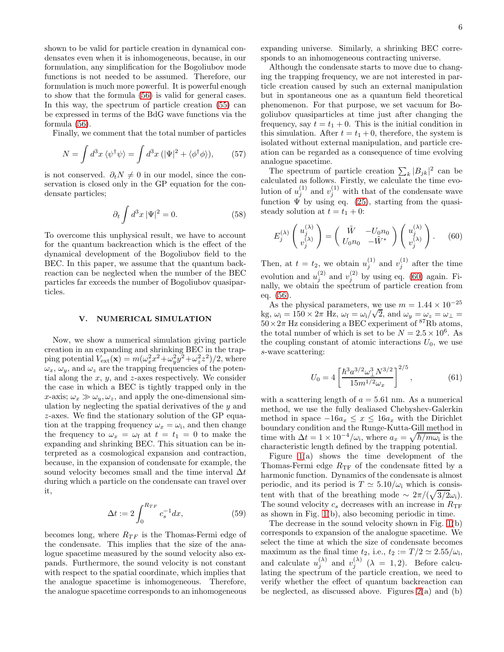shown to be valid for particle creation in dynamical condensates even when it is inhomogeneous, because, in our formulation, any simplification for the Bogoliubov mode functions is not needed to be assumed. Therefore, our formulation is much more powerful. It is powerful enough to show that the formula [\(56\)](#page-4-4) is valid for general cases. In this way, the spectrum of particle creation [\(55\)](#page-4-5) can be expressed in terms of the BdG wave functions via the formula [\(56\)](#page-4-4).

Finally, we comment that the total number of particles

$$
N = \int d^3x \, \langle \psi^\dagger \psi \rangle = \int d^3x \, (|\Psi|^2 + \langle \phi^\dagger \phi \rangle), \qquad (57)
$$

is not conserved.  $\partial_t N \neq 0$  in our model, since the conservation is closed only in the GP equation for the condensate particles;

$$
\partial_t \int d^3x \, |\Psi|^2 = 0. \tag{58}
$$

To overcome this unphysical result, we have to account for the quantum backreaction which is the effect of the dynamical development of the Bogoliubov field to the BEC. In this paper, we assume that the quantum backreaction can be neglected when the number of the BEC particles far exceeds the number of Bogoliubov quasiparticles.

#### <span id="page-5-0"></span>V. NUMERICAL SIMULATION

Now, we show a numerical simulation giving particle creation in an expanding and shrinking BEC in the trapping potential  $V_{ext}(\mathbf{x}) = m(\omega_x^2 x^2 + \omega_y^2 y^2 + \omega_z^2 z^2)/2$ , where  $\omega_x$ ,  $\omega_y$ , and  $\omega_z$  are the trapping frequencies of the potential along the  $x, y$ , and  $z$ -axes respectively. We consider the case in which a BEC is tightly trapped only in the x-axis;  $\omega_x \gg \omega_y, \omega_z$ , and apply the one-dimensional simulation by neglecting the spatial derivatives of the  $y$  and z-axes. We find the stationary solution of the GP equation at the trapping frequency  $\omega_x = \omega_i$ , and then change the frequency to  $\omega_x = \omega_f$  at  $t = t_1 = 0$  to make the expanding and shrinking BEC. This situation can be interpreted as a cosmological expansion and contraction, because, in the expansion of condensate for example, the sound velocity becomes small and the time interval  $\Delta t$ during which a particle on the condensate can travel over it,

$$
\Delta t := 2 \int_0^{R_{TF}} c_s^{-1} dx,\tag{59}
$$

becomes long, where  $R_{TF}$  is the Thomas-Fermi edge of the condensate. This implies that the size of the analogue spacetime measured by the sound velocity also expands. Furthermore, the sound velocity is not constant with respect to the spatial coordinate, which implies that the analogue spacetime is inhomogeneous. Therefore, the analogue spacetime corresponds to an inhomogeneous expanding universe. Similarly, a shrinking BEC corresponds to an inhomogeneous contracting universe.

Although the condensate starts to move due to changing the trapping frequency, we are not interested in particle creation caused by such an external manipulation but in spontaneous one as a quantum field theoretical phenomenon. For that purpose, we set vacuum for Bogoliubov quasiparticles at time just after changing the frequency, say  $t = t_1 + 0$ . This is the initial condition in this simulation. After  $t = t_1 + 0$ , therefore, the system is isolated without external manipulation, and particle creation can be regarded as a consequence of time evolving analogue spacetime.

The spectrum of particle creation  $\sum_{k} |B_{jk}|^2$  can be calculated as follows. Firstly, we calculate the time evolution of  $u_j^{(1)}$  and  $v_j^{(1)}$  with that of the condensate wave function  $\check{\Psi}$  by using eq. [\(25\)](#page-3-0), starting from the quasisteady solution at  $t = t_1 + 0$ :

<span id="page-5-1"></span>
$$
E_j^{(\lambda)}\begin{pmatrix} u_j^{(\lambda)} \\ v_j^{(\lambda)} \end{pmatrix} = \begin{pmatrix} \tilde{W} & -U_0 n_0 \\ U_0 n_0 & -\tilde{W}^* \end{pmatrix} \begin{pmatrix} u_j^{(\lambda)} \\ v_j^{(\lambda)} \end{pmatrix}.
$$
 (60)

Then, at  $t = t_2$ , we obtain  $u_j^{(1)}$  and  $v_j^{(1)}$  after the time evolution and  $u_j^{(2)}$  and  $v_j^{(2)}$  by using eq. [\(60\)](#page-5-1) again. Finally, we obtain the spectrum of particle creation from eq. [\(56\)](#page-4-4).

As the physical parameters, we use  $m = 1.44 \times 10^{-25}$ kg,  $\omega_i = 150 \times 2\pi$  Hz,  $\omega_f = \omega_i/\sqrt{2}$ , and  $\omega_y = \omega_z = \omega_{\perp} =$  $50\times2\pi$  Hz considering a BEC experiment of <sup>87</sup>Rb atoms, the total number of which is set to be  $N = 2.5 \times 10^6$ . As the coupling constant of atomic interactions  $U_0$ , we use s-wave scattering:

$$
U_0 = 4 \left[ \frac{\hbar^3 a^{3/2} \omega_\perp^3 N^{3/2}}{15 m^{1/2} \omega_x} \right]^{2/5},\tag{61}
$$

with a scattering length of  $a = 5.61$  nm. As a numerical method, we use the fully dealiased Chebyshev-Galerkin method in space  $-16a_x \leq x \leq 16a_x$  with the Dirichlet boundary condition and the Runge-Kutta-Gill method in time with  $\Delta t = 1 \times 10^{-4} / \omega_i$ , where  $a_x = \sqrt{\hbar / m \omega_i}$  is the characteristic length defined by the trapping potential.

Figure [1\(](#page-6-1)a) shows the time development of the Thomas-Fermi edge  $R_{\text{TF}}$  of the condensate fitted by a harmonic function. Dynamics of the condensate is almost periodic, and its period is  $T \simeq 5.10/\omega_i$  which is consistent with that of the breathing mode ~  $2\pi/(\sqrt{3/2\omega_i})$ . The sound velocity  $c_s$  decreases with an increase in  $R_{\text{TF}}$ as shown in Fig. [1\(](#page-6-1)b), also becoming periodic in time.

The decrease in the sound velocity shown in Fig. [1\(](#page-6-1)b) corresponds to expansion of the analogue spacetime. We select the time at which the size of condensate becomes maximum as the final time  $t_2$ , i.e.,  $t_2 := T/2 \simeq 2.55/\omega_i$ , and calculate  $u_i^{(\lambda)}$  $j^{(\lambda)}$  and  $v_j^{(\lambda)}$  $j^{(\lambda)}$   $(\lambda = 1, 2)$ . Before calculating the spectrum of the particle creation, we need to verify whether the effect of quantum backreaction can be neglected, as discussed above. Figures  $2(a)$  and  $(b)$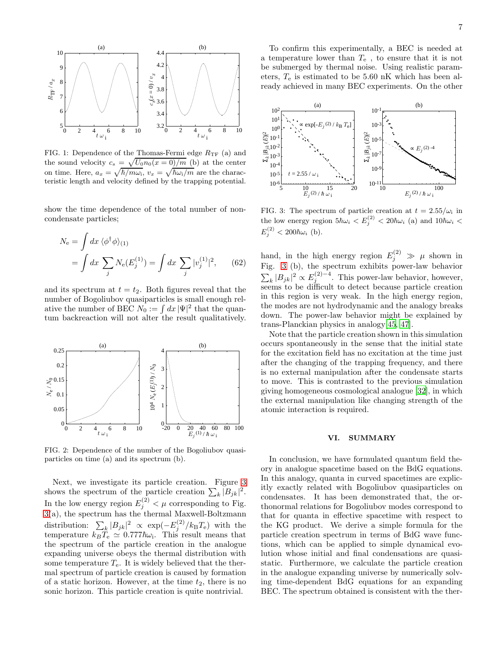

<span id="page-6-1"></span>FIG. 1: Dependence of the Thomas-Fermi edge  $R_{\text{TF}}$  (a) and the sound velocity  $c_s = \sqrt{U_0 n_0(x=0)/m}$  (b) at the center on time. Here,  $a_x = \sqrt{\hbar/m\omega_i}$ ,  $v_x = \sqrt{\hbar\omega_i/m}$  are the characteristic length and velocity defined by the trapping potential.

show the time dependence of the total number of noncondensate particles;

$$
N_e = \int dx \, \langle \phi^\dagger \phi \rangle_{(1)}
$$
  
= 
$$
\int dx \, \sum_j N_e(E_j^{(1)}) = \int dx \, \sum_j |v_j^{(1)}|^2, \qquad (62)
$$

and its spectrum at  $t = t_2$ . Both figures reveal that the number of Bogoliubov quasiparticles is small enough relative the number of BEC  $N_0 := \int dx |\Psi|^2$  that the quantum backreaction will not alter the result qualitatively.



<span id="page-6-2"></span>FIG. 2: Dependence of the number of the Bogoliubov quasiparticles on time (a) and its spectrum (b).

Next, we investigate its particle creation. Figure [3](#page-6-3) shows the spectrum of the particle creation  $\sum_{k} |B_{jk}|^2$ . In the low energy region  $E_j^{(2)} < \mu$  corresponding to Fig. [3\(](#page-6-3)a), the spectrum has the thermal Maxwell-Boltzmann distribution:  $\sum_{k} |B_{jk}|^2 \propto \exp(-E_j^{(2)}/k_B T_e)$  with the temperature  $k_B T_e \simeq 0.777 \hbar \omega_i$ . This result means that the spectrum of the particle creation in the analogue expanding universe obeys the thermal distribution with some temperature  $T_{e}$ . It is widely believed that the thermal spectrum of particle creation is caused by formation of a static horizon. However, at the time  $t_2$ , there is no sonic horizon. This particle creation is quite nontrivial.

To confirm this experimentally, a BEC is needed at a temperature lower than  $T_e$ , to ensure that it is not be submerged by thermal noise. Using realistic parameters,  $T_e$  is estimated to be 5.60 nK which has been already achieved in many BEC experiments. On the other



<span id="page-6-3"></span>FIG. 3: The spectrum of particle creation at  $t = 2.55/\omega_i$  in the low energy region  $5\hbar\omega_i < E_j^{(2)} < 20\hbar\omega_i$  (a) and  $10\hbar\omega_i <$  $E_j^{(2)} < 200\hbar\omega_i$  (b).

hand, in the high energy region  $E_j^{(2)} \gg \mu$  shown in Fig. [3](#page-6-3) (b), the spectrum exhibits power-law behavior  $\sum_{k} |B_{jk}|^2 \propto E_j^{(2)-4}$ . This power-law behavior, however, seems to be difficult to detect because particle creation in this region is very weak. In the high energy region, the modes are not hydrodynamic and the analogy breaks down. The power-law behavior might be explained by trans-Planckian physics in analogy[\[45,](#page-7-44) [47\]](#page-7-46).

Note that the particle creation shown in this simulation occurs spontaneously in the sense that the initial state for the excitation field has no excitation at the time just after the changing of the trapping frequency, and there is no external manipulation after the condensate starts to move. This is contrasted to the previous simulation giving homogeneous cosmological analogue [\[32](#page-7-31)], in which the external manipulation like changing strength of the atomic interaction is required.

#### <span id="page-6-0"></span>VI. SUMMARY

In conclusion, we have formulated quantum field theory in analogue spacetime based on the BdG equations. In this analogy, quanta in curved spacetimes are explicitly exactly related with Bogoliubov quasiparticles on condensates. It has been demonstrated that, the orthonormal relations for Bogoliubov modes correspond to that for quanta in effective spacetime with respect to the KG product. We derive a simple formula for the particle creation spectrum in terms of BdG wave functions, which can be applied to simple dynamical evolution whose initial and final condensations are quasistatic. Furthermore, we calculate the particle creation in the analogue expanding universe by numerically solving time-dependent BdG equations for an expanding BEC. The spectrum obtained is consistent with the ther